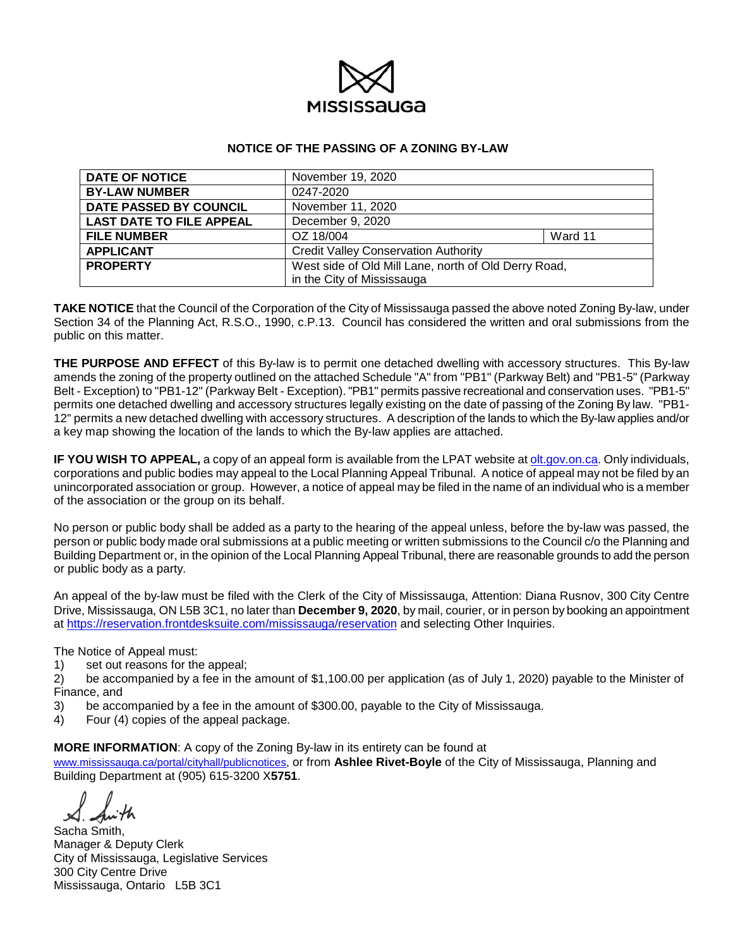

#### **NOTICE OF THE PASSING OF A ZONING BY-LAW**

| <b>DATE OF NOTICE</b>           | November 19, 2020                                    |  |  |
|---------------------------------|------------------------------------------------------|--|--|
| <b>BY-LAW NUMBER</b>            | 0247-2020                                            |  |  |
| DATE PASSED BY COUNCIL          | November 11, 2020                                    |  |  |
| <b>LAST DATE TO FILE APPEAL</b> | December 9, 2020                                     |  |  |
| <b>FILE NUMBER</b>              | OZ 18/004<br>Ward 11                                 |  |  |
| <b>APPLICANT</b>                | <b>Credit Valley Conservation Authority</b>          |  |  |
| <b>PROPERTY</b>                 | West side of Old Mill Lane, north of Old Derry Road, |  |  |
|                                 | in the City of Mississauga                           |  |  |

**TAKE NOTICE** that the Council of the Corporation of the City of Mississauga passed the above noted Zoning By-law, under Section 34 of the Planning Act, R.S.O., 1990, c.P.13. Council has considered the written and oral submissions from the public on this matter.

**THE PURPOSE AND EFFECT** of this By-law is to permit one detached dwelling with accessory structures. This By-law amends the zoning of the property outlined on the attached Schedule "A" from "PB1" (Parkway Belt) and "PB1-5" (Parkway Belt - Exception) to "PB1-12" (Parkway Belt - Exception). "PB1" permits passive recreational and conservation uses. "PB1-5" permits one detached dwelling and accessory structures legally existing on the date of passing of the Zoning By law. "PB1- 12" permits a new detached dwelling with accessory structures. A description of the lands to which the By-law applies and/or a key map showing the location of the lands to which the By-law applies are attached.

**IF YOU WISH TO APPEAL,** a copy of an appeal form is available from the LPAT website at olt.gov.on.ca. Only individuals, corporations and public bodies may appeal to the Local Planning Appeal Tribunal. A notice of appeal may not be filed by an unincorporated association or group. However, a notice of appeal may be filed in the name of an individual who is a member of the association or the group on its behalf.

No person or public body shall be added as a party to the hearing of the appeal unless, before the by-law was passed, the person or public body made oral submissions at a public meeting or written submissions to the Council c/o the Planning and Building Department or, in the opinion of the Local Planning Appeal Tribunal, there are reasonable grounds to add the person or public body as a party.

An appeal of the by-law must be filed with the Clerk of the City of Mississauga, Attention: Diana Rusnov, 300 City Centre Drive, Mississauga, ON L5B 3C1, no later than **December 9, 2020**, by mail, courier, or in person by booking an appointment at https://reservation.frontdesksuite.com/mississauga/reservation and selecting Other Inquiries.

The Notice of Appeal must:

1) set out reasons for the appeal;<br>2) be accompanied by a fee in the

be accompanied by a fee in the amount of \$1,100.00 per application (as of July 1, 2020) payable to the Minister of Finance, and

- 3) be accompanied by a fee in the amount of \$300.00, payable to the City of Mississauga.<br>4) Four (4) copies of the appeal package.
- 4) Four (4) copies of the appeal package.

#### **MORE INFORMATION**: A copy of the Zoning By-law in its entirety can be found at

www.mississauga.ca/portal/cityhall/publicnotices, or from **Ashlee Rivet-Boyle** of the City of Mississauga, Planning and Building Department at (905) 615-3200 X**5751**.

Sacha Smith, Manager & Deputy Clerk City of Mississauga, Legislative Services 300 City Centre Drive Mississauga, Ontario L5B 3C1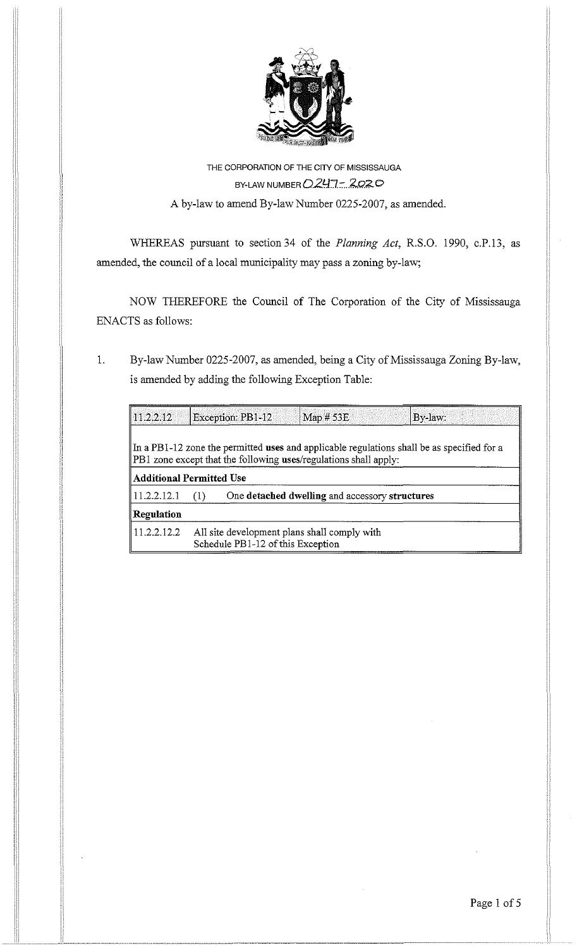

# THE CORPORATION OF THE CITY OF MISSISSAUGA BY-LAW NUMBER *Q247-2020* A by-law to amend By-law Number 0225-2007, as amended.

WHEREAS pursuant to section 34 of the *Planning Act,* R.S.O. 1990, c.P.13, as amended, the council of a local municipality may pass a zoning by-law;

NOW THEREFORE the Council of The Corporation of the City of Mississauga ENACTS as follows:

1. By-law Number 0225-2007, as amended, being a City of Mississauga Zoning By-law, is amended by adding the following Exception Table:

| $ 11.2.2.12\rangle$             |                                                                                   | Exception: PB1-12 | Map $# 53E$                                                      | By-law:                                                                                    |
|---------------------------------|-----------------------------------------------------------------------------------|-------------------|------------------------------------------------------------------|--------------------------------------------------------------------------------------------|
|                                 |                                                                                   |                   | PB1 zone except that the following uses/regulations shall apply: | In a PB1-12 zone the permitted uses and applicable regulations shall be as specified for a |
| <b>Additional Permitted Use</b> |                                                                                   |                   |                                                                  |                                                                                            |
| 11.2.2.12.1                     | (1)                                                                               |                   | One detached dwelling and accessory structures                   |                                                                                            |
| Regulation                      |                                                                                   |                   |                                                                  |                                                                                            |
| 11.2.2.12.2                     | All site development plans shall comply with<br>Schedule PB1-12 of this Exception |                   |                                                                  |                                                                                            |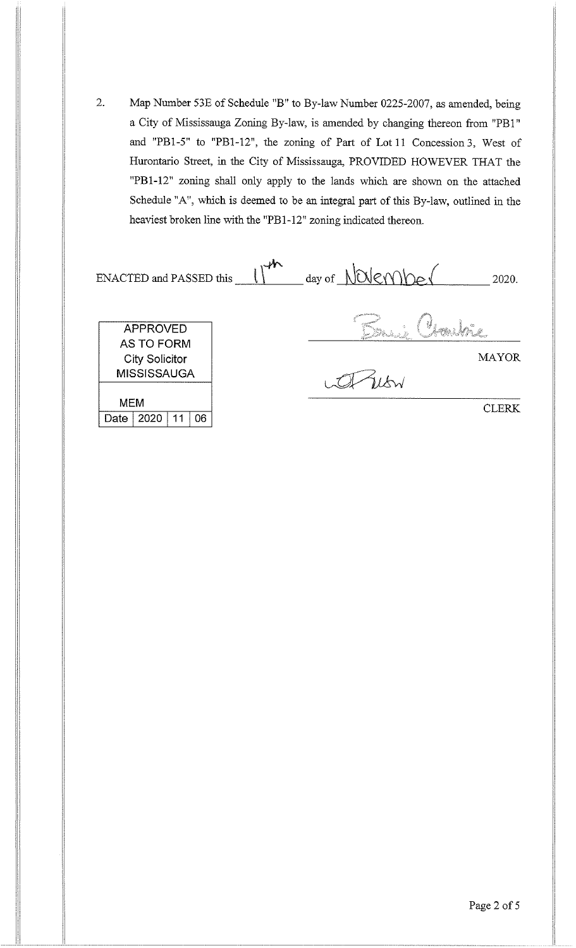2. Map Number 53E of Schedule "B" to By-law Number 0225-2007, as amended, being a City of Mississauga Zoning By-law, is amended by changing thereon from "PB 1" and "PBl-5" to "PBl-12'', the zoning of Part of Lot 11 Concession 3, West of Hurontario Street, in the City of Mississauga, PROVIDED HOWEVER THAT the "PB 1-12" zoning shall only apply to the lands which are shown on the attached Schedule "A", which is deemed to be an integral part of this By-law, outlined in the heaviest broken line with the "PBl-12" zoning indicated thereon.

| <b>ENACTED</b> and PASSED this                                                      | day of NOVEMbe<br>2020. |
|-------------------------------------------------------------------------------------|-------------------------|
| <b>APPROVED</b><br><b>AS TO FORM</b><br><b>City Solicitor</b><br><b>MISSISSAUGA</b> | ł.<br><b>MAYOR</b>      |
| <b>MEM</b><br>06<br>2020<br>Date                                                    | CLERK                   |

Page 2 of 5

11 1\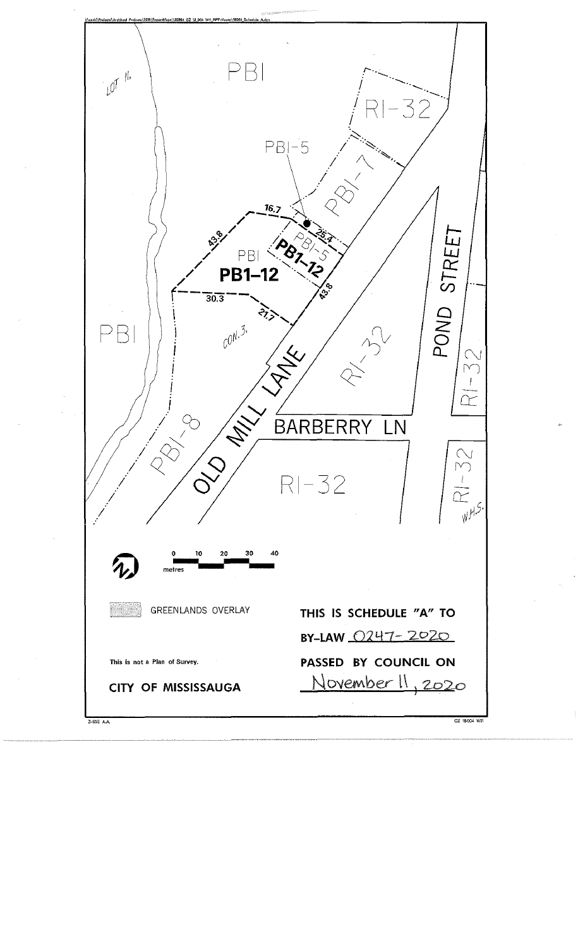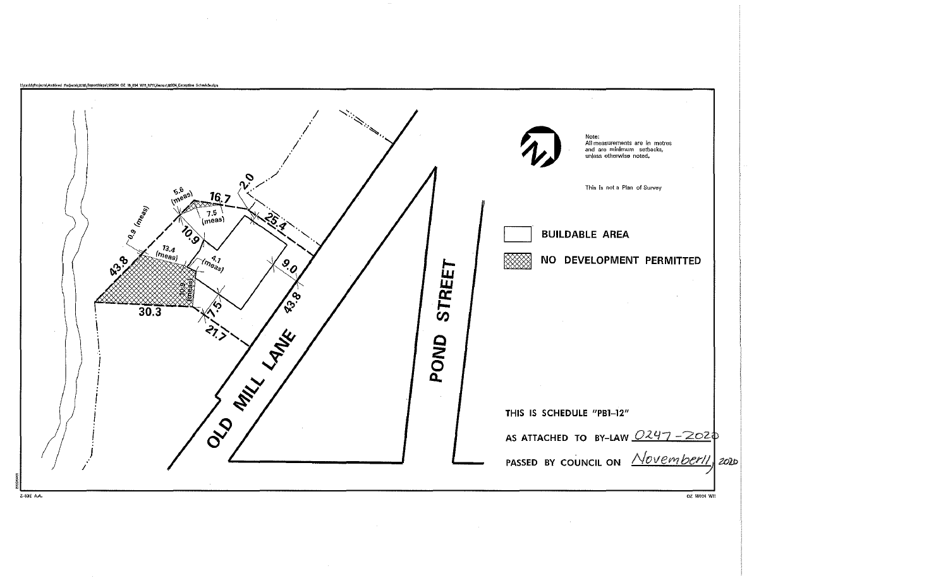

 $\sim$   $\sim$